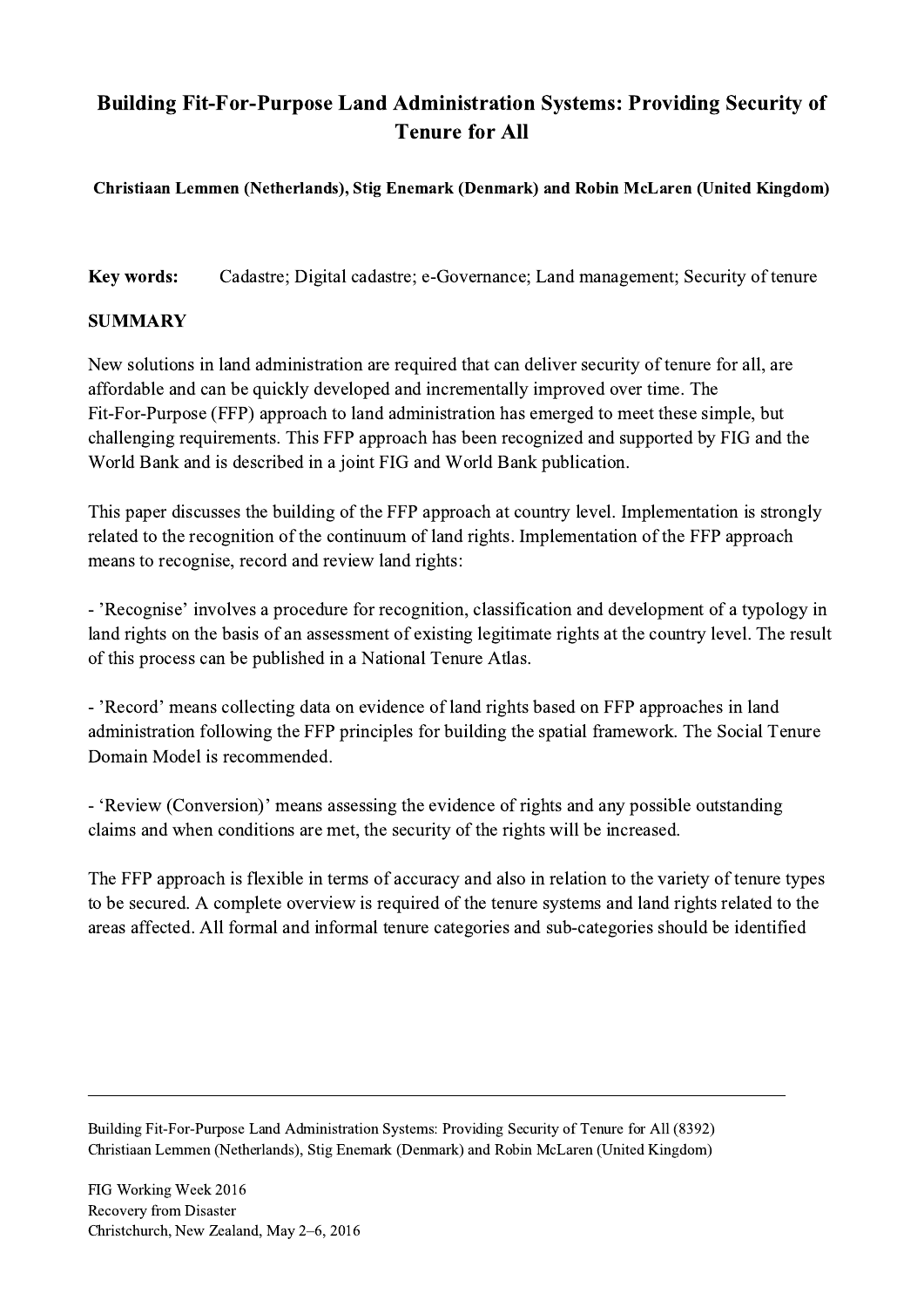## Building Fit-For-Purpose Land Administration Systems: Providing Security of Tenure for All

## Christiaan Lemmen (Netherlands), Stig Enemark (Denmark) and Robin McLaren (United Kingdom)

Key words: Cadastre; Digital cadastre; e-Governance; Land management; Security of tenure

## SUMMARY

New solutions in land administration are required that can deliver security of tenure for all, are affordable and can be quickly developed and incrementally improved over time. The Fit-For-Purpose (FFP) approach to land administration has emerged to meet these simple, but challenging requirements. This FFP approach has been recognized and supported by FIG and the World Bank and is described in a joint FIG and World Bank publication.

This paper discusses the building of the FFP approach at country level. Implementation is strongly related to the recognition of the continuum of land rights. Implementation of the FFP approach means to recognise, record and review land rights:

- 'Recognise' involves a procedure for recognition, classification and development of a typology in land rights on the basis of an assessment of existing legitimate rights at the country level. The result of this process can be published in a National Tenure Atlas.

- 'Record' means collecting data on evidence of land rights based on FFP approaches in land administration following the FFP principles for building the spatial framework. The Social Tenure Domain Model is recommended.

- 'Review (Conversion)' means assessing the evidence of rights and any possible outstanding claims and when conditions are met, the security of the rights will be increased.

The FFP approach is flexible in terms of accuracy and also in relation to the variety of tenure types to be secured. A complete overview is required of the tenure systems and land rights related to the areas affected. All formal and informal tenure categories and sub-categories should be identified

Building Fit-For-Purpose Land Administration Systems: Providing Security of Tenure for All (8392) Christiaan Lemmen (Netherlands), Stig Enemark (Denmark) and Robin McLaren (United Kingdom)

 $\mathcal{L}_\mathcal{L} = \{ \mathcal{L}_\mathcal{L} = \{ \mathcal{L}_\mathcal{L} = \{ \mathcal{L}_\mathcal{L} = \{ \mathcal{L}_\mathcal{L} = \{ \mathcal{L}_\mathcal{L} = \{ \mathcal{L}_\mathcal{L} = \{ \mathcal{L}_\mathcal{L} = \{ \mathcal{L}_\mathcal{L} = \{ \mathcal{L}_\mathcal{L} = \{ \mathcal{L}_\mathcal{L} = \{ \mathcal{L}_\mathcal{L} = \{ \mathcal{L}_\mathcal{L} = \{ \mathcal{L}_\mathcal{L} = \{ \mathcal{L}_\mathcal{$